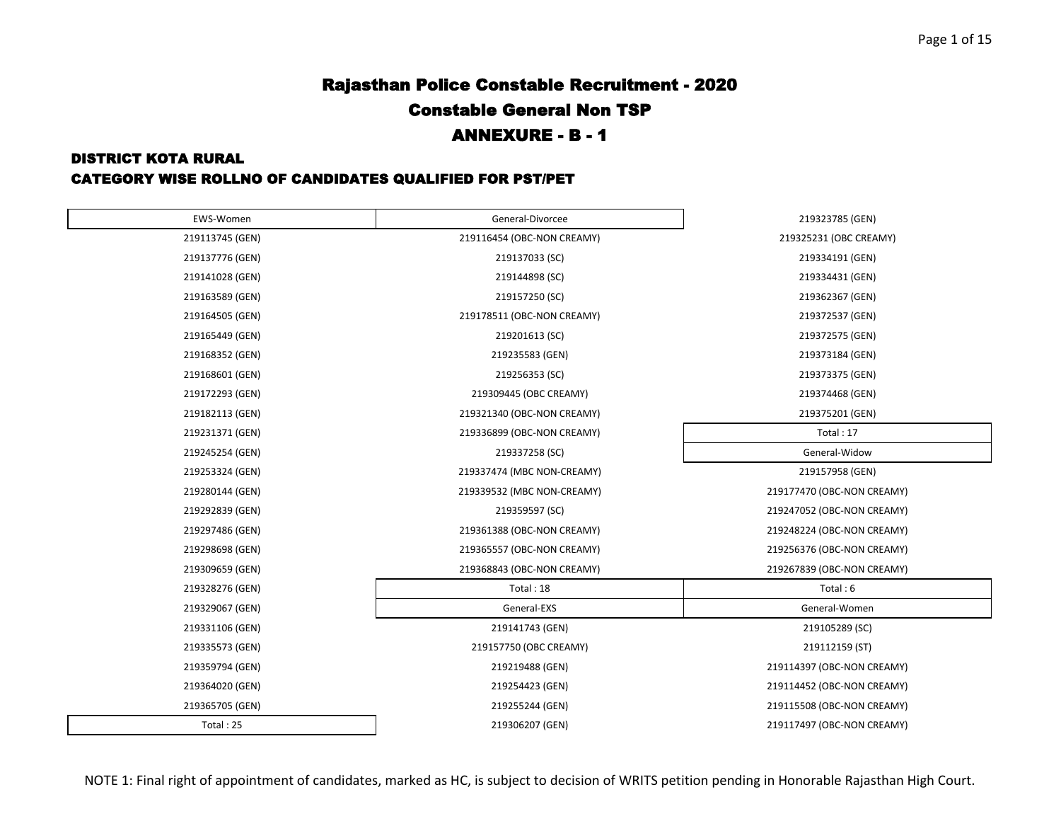#### DISTRICT KOTA RURAL

| EWS-Women       | General-Divorcee           | 219323785 (GEN)            |
|-----------------|----------------------------|----------------------------|
| 219113745 (GEN) | 219116454 (OBC-NON CREAMY) | 219325231 (OBC CREAMY)     |
| 219137776 (GEN) | 219137033 (SC)             | 219334191 (GEN)            |
| 219141028 (GEN) | 219144898 (SC)             | 219334431 (GEN)            |
| 219163589 (GEN) | 219157250 (SC)             | 219362367 (GEN)            |
| 219164505 (GEN) | 219178511 (OBC-NON CREAMY) | 219372537 (GEN)            |
| 219165449 (GEN) | 219201613 (SC)             | 219372575 (GEN)            |
| 219168352 (GEN) | 219235583 (GEN)            | 219373184 (GEN)            |
| 219168601 (GEN) | 219256353 (SC)             | 219373375 (GEN)            |
| 219172293 (GEN) | 219309445 (OBC CREAMY)     | 219374468 (GEN)            |
| 219182113 (GEN) | 219321340 (OBC-NON CREAMY) | 219375201 (GEN)            |
| 219231371 (GEN) | 219336899 (OBC-NON CREAMY) | Total: 17                  |
| 219245254 (GEN) | 219337258 (SC)             | General-Widow              |
| 219253324 (GEN) | 219337474 (MBC NON-CREAMY) | 219157958 (GEN)            |
| 219280144 (GEN) | 219339532 (MBC NON-CREAMY) | 219177470 (OBC-NON CREAMY) |
| 219292839 (GEN) | 219359597 (SC)             | 219247052 (OBC-NON CREAMY) |
| 219297486 (GEN) | 219361388 (OBC-NON CREAMY) | 219248224 (OBC-NON CREAMY) |
| 219298698 (GEN) | 219365557 (OBC-NON CREAMY) | 219256376 (OBC-NON CREAMY) |
| 219309659 (GEN) | 219368843 (OBC-NON CREAMY) | 219267839 (OBC-NON CREAMY) |
| 219328276 (GEN) | Total: 18                  | Total: 6                   |
| 219329067 (GEN) | General-EXS                | General-Women              |
| 219331106 (GEN) | 219141743 (GEN)            | 219105289 (SC)             |
| 219335573 (GEN) | 219157750 (OBC CREAMY)     | 219112159 (ST)             |
| 219359794 (GEN) | 219219488 (GEN)            | 219114397 (OBC-NON CREAMY) |
| 219364020 (GEN) | 219254423 (GEN)            | 219114452 (OBC-NON CREAMY) |
| 219365705 (GEN) | 219255244 (GEN)            | 219115508 (OBC-NON CREAMY) |
| Total: 25       | 219306207 (GEN)            | 219117497 (OBC-NON CREAMY) |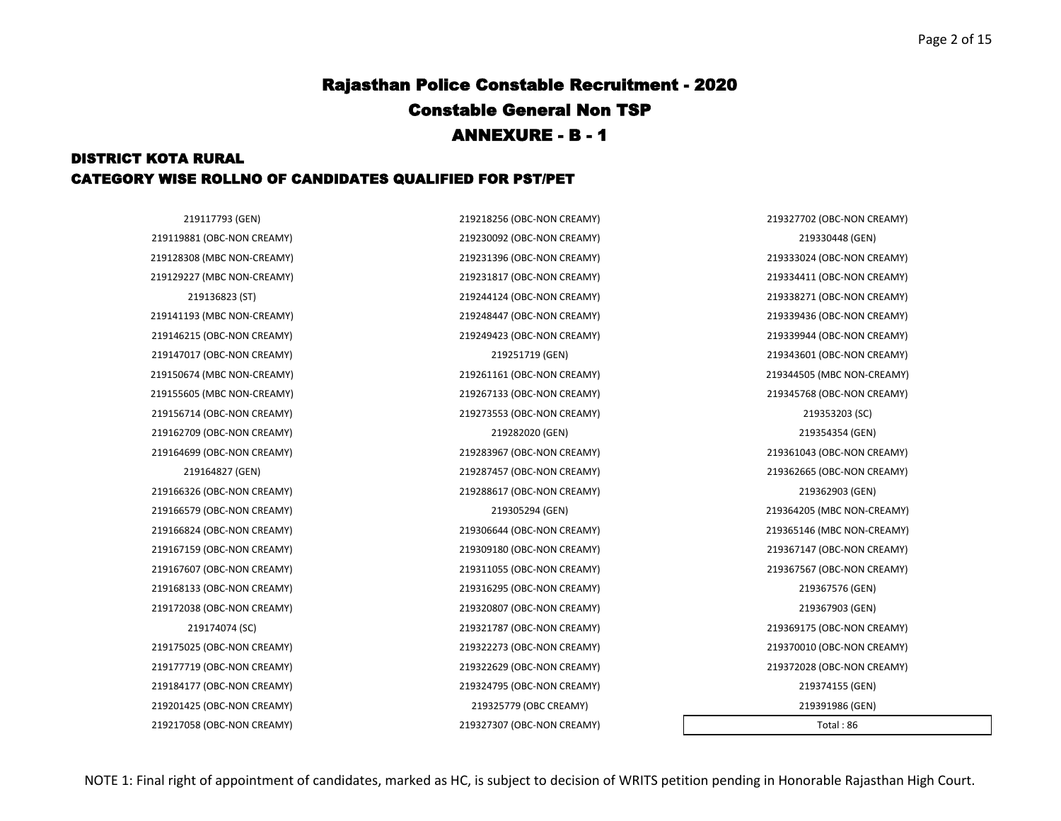### DISTRICT KOTA RURAL CATEGORY WISE ROLLNO OF CANDIDATES QUALIFIED FOR PST/PET

219117793 (GEN) 219218256 (OBC-NON CREAMY) 219327702 (OBC-NON CREAMY) 219128308 (MBC NON-CREAMY) 219231396 (OBC-NON CREAMY) 219333024 (OBC-NON CREAMY) 219129227 (MBC NON-CREAMY) 219231817 (OBC-NON CREAMY) 219334411 (OBC-NON CREAMY) 219136823 (ST) 219244124 (OBC-NON CREAMY) 219338271 (OBC-NON CREAMY) 219141193 (MBC NON-CREAMY) 219248447 (OBC-NON CREAMY) 219339436 (OBC-NON CREAMY) 219146215 (OBC-NON CREAMY) 219249423 (OBC-NON CREAMY) 219339944 (OBC-NON CREAMY) 219147017 (OBC-NON CREAMY) 219251719 (GEN) 219343601 (OBC-NON CREAMY) 219150674 (MBC NON-CREAMY) 219261161 (OBC-NON CREAMY) 219344505 (MBC NON-CREAMY) 219155605 (MBC NON-CREAMY) 219267133 (OBC-NON CREAMY) 219345768 (OBC-NON CREAMY) 219164699 (OBC-NON CREAMY) 219283967 (OBC-NON CREAMY) 219361043 (OBC-NON CREAMY) 219164827 (GEN) 219287457 (OBC-NON CREAMY) 219362665 (OBC-NON CREAMY) 219166579 (OBC-NON CREAMY) 219305294 (GEN) 219364205 (MBC NON-CREAMY) 219166824 (OBC-NON CREAMY) 219306644 (OBC-NON CREAMY) 219365146 (MBC NON-CREAMY) 219167159 (OBC-NON CREAMY) 219309180 (OBC-NON CREAMY) 219367147 (OBC-NON CREAMY) 219167607 (OBC-NON CREAMY) 219311055 (OBC-NON CREAMY) 219367567 (OBC-NON CREAMY) 219174074 (SC) 219321787 (OBC-NON CREAMY) 219369175 (OBC-NON CREAMY) 219175025 (OBC-NON CREAMY) 219322273 (OBC-NON CREAMY) 219370010 (OBC-NON CREAMY) 219177719 (OBC-NON CREAMY) 219322629 (OBC-NON CREAMY) 219372028 (OBC-NON CREAMY)

219184177 (OBC-NON CREAMY) 219324795 (OBC-NON CREAMY) 219374155 (GEN) 219201425 (OBC-NON CREAMY) 219325779 (OBC CREAMY) 219391986 (GEN) 219217058 (OBC-NON CREAMY) 219327307 (OBC-NON CREAMY) Total : 86

219119881 (OBC-NON CREAMY) 219230092 (OBC-NON CREAMY) 219330448 (GEN) 219156714 (OBC-NON CREAMY) 219273553 (OBC-NON CREAMY) 219353203 (SC) 219162709 (OBC-NON CREAMY) 219282020 (GEN) 219354354 (GEN) 219166326 (OBC-NON CREAMY) 219288617 (OBC-NON CREAMY) 219362903 (GEN) 219168133 (OBC-NON CREAMY) 219316295 (OBC-NON CREAMY) 219367576 (GEN) 219172038 (OBC-NON CREAMY) 219320807 (OBC-NON CREAMY) 219367903 (GEN)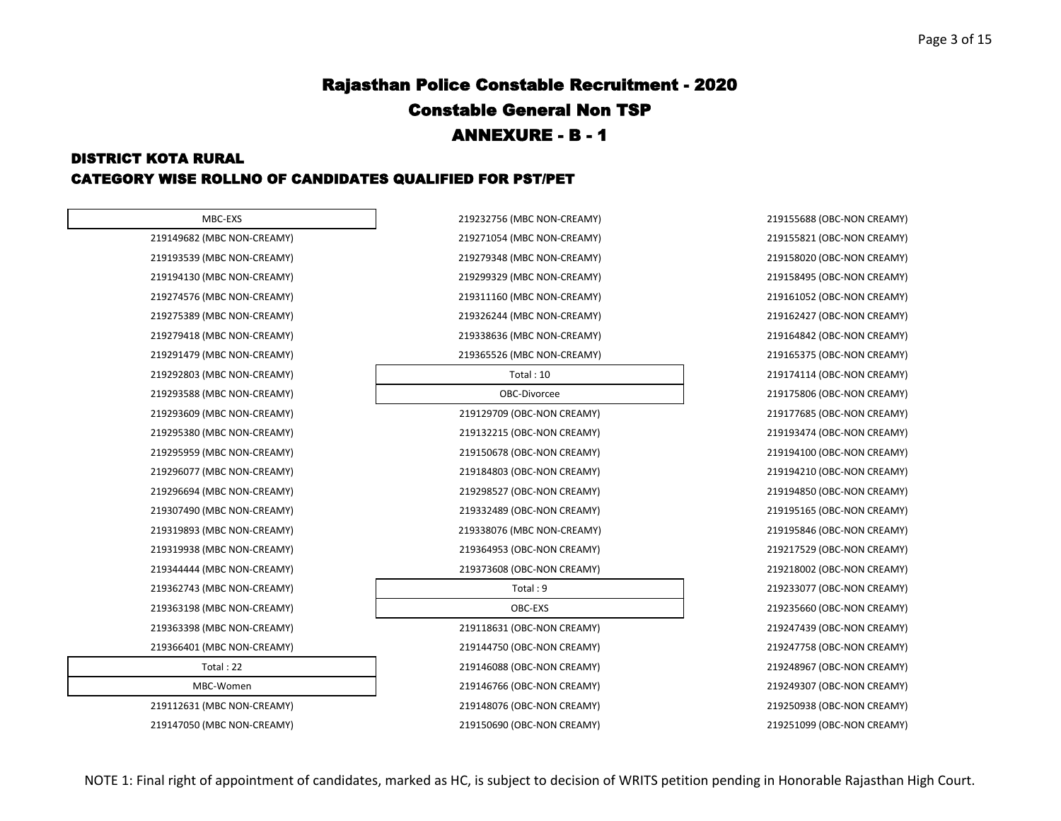### DISTRICT KOTA RURAL CATEGORY WISE ROLLNO OF CANDIDATES QUALIFIED FOR PST/PET

| MBC-EXS                    |  |
|----------------------------|--|
| 219149682 (MBC NON-CREAMY) |  |
| 219193539 (MBC NON-CREAMY) |  |
| 219194130 (MBC NON-CREAMY) |  |
| 219274576 (MBC NON-CREAMY) |  |
| 219275389 (MBC NON-CREAMY) |  |
| 219279418 (MBC NON-CREAMY) |  |
| 219291479 (MBC NON-CREAMY) |  |
| 219292803 (MBC NON-CREAMY) |  |
| 219293588 (MBC NON-CREAMY) |  |
| 219293609 (MBC NON-CREAMY) |  |
| 219295380 (MBC NON-CREAMY) |  |
| 219295959 (MBC NON-CREAMY) |  |
| 219296077 (MBC NON-CREAMY) |  |
| 219296694 (MBC NON-CREAMY) |  |
| 219307490 (MBC NON-CREAMY) |  |
| 219319893 (MBC NON-CREAMY) |  |
| 219319938 (MBC NON-CREAMY) |  |
| 219344444 (MBC NON-CREAMY) |  |
| 219362743 (MBC NON-CREAMY) |  |
| 219363198 (MBC NON-CREAMY) |  |
| 219363398 (MBC NON-CREAMY) |  |
| 219366401 (MBC NON-CREAMY) |  |
| Total: 22                  |  |
| MBC-Women                  |  |
| 219112631 (MBC NON-CREAMY) |  |
| $10117050$ (MIDC MOM) CDEA |  |

| MBC-EXS                    | 219232756 (MBC NON-CREAMY) | 219155688 (OBC-NON CREAMY) |
|----------------------------|----------------------------|----------------------------|
| 219149682 (MBC NON-CREAMY) | 219271054 (MBC NON-CREAMY) | 219155821 (OBC-NON CREAMY) |
| 219193539 (MBC NON-CREAMY) | 219279348 (MBC NON-CREAMY) | 219158020 (OBC-NON CREAMY) |
| 219194130 (MBC NON-CREAMY) | 219299329 (MBC NON-CREAMY) | 219158495 (OBC-NON CREAMY) |
| 219274576 (MBC NON-CREAMY) | 219311160 (MBC NON-CREAMY) | 219161052 (OBC-NON CREAMY) |
| 219275389 (MBC NON-CREAMY) | 219326244 (MBC NON-CREAMY) | 219162427 (OBC-NON CREAMY) |
| 219279418 (MBC NON-CREAMY) | 219338636 (MBC NON-CREAMY) | 219164842 (OBC-NON CREAMY) |
| 219291479 (MBC NON-CREAMY) | 219365526 (MBC NON-CREAMY) | 219165375 (OBC-NON CREAMY) |
| 219292803 (MBC NON-CREAMY) | Total:10                   | 219174114 (OBC-NON CREAMY) |
| 219293588 (MBC NON-CREAMY) | OBC-Divorcee               | 219175806 (OBC-NON CREAMY) |
| 219293609 (MBC NON-CREAMY) | 219129709 (OBC-NON CREAMY) | 219177685 (OBC-NON CREAMY) |
| 219295380 (MBC NON-CREAMY) | 219132215 (OBC-NON CREAMY) | 219193474 (OBC-NON CREAMY) |
| 219295959 (MBC NON-CREAMY) | 219150678 (OBC-NON CREAMY) | 219194100 (OBC-NON CREAMY) |
| 219296077 (MBC NON-CREAMY) | 219184803 (OBC-NON CREAMY) | 219194210 (OBC-NON CREAMY) |
| 219296694 (MBC NON-CREAMY) | 219298527 (OBC-NON CREAMY) | 219194850 (OBC-NON CREAMY) |
| 219307490 (MBC NON-CREAMY) | 219332489 (OBC-NON CREAMY) | 219195165 (OBC-NON CREAMY) |
| 219319893 (MBC NON-CREAMY) | 219338076 (MBC NON-CREAMY) | 219195846 (OBC-NON CREAMY) |
| 219319938 (MBC NON-CREAMY) | 219364953 (OBC-NON CREAMY) | 219217529 (OBC-NON CREAMY) |
| 219344444 (MBC NON-CREAMY) | 219373608 (OBC-NON CREAMY) | 219218002 (OBC-NON CREAMY) |
| 219362743 (MBC NON-CREAMY) | Total: 9                   | 219233077 (OBC-NON CREAMY) |
| 219363198 (MBC NON-CREAMY) | OBC-EXS                    | 219235660 (OBC-NON CREAMY) |
| 219363398 (MBC NON-CREAMY) | 219118631 (OBC-NON CREAMY) | 219247439 (OBC-NON CREAMY) |
| 219366401 (MBC NON-CREAMY) | 219144750 (OBC-NON CREAMY) | 219247758 (OBC-NON CREAMY) |
| Total: 22                  | 219146088 (OBC-NON CREAMY) | 219248967 (OBC-NON CREAMY) |
| MBC-Women                  | 219146766 (OBC-NON CREAMY) | 219249307 (OBC-NON CREAMY) |
| 219112631 (MBC NON-CREAMY) | 219148076 (OBC-NON CREAMY) | 219250938 (OBC-NON CREAMY) |
| 219147050 (MBC NON-CREAMY) | 219150690 (OBC-NON CREAMY) | 219251099 (OBC-NON CREAMY) |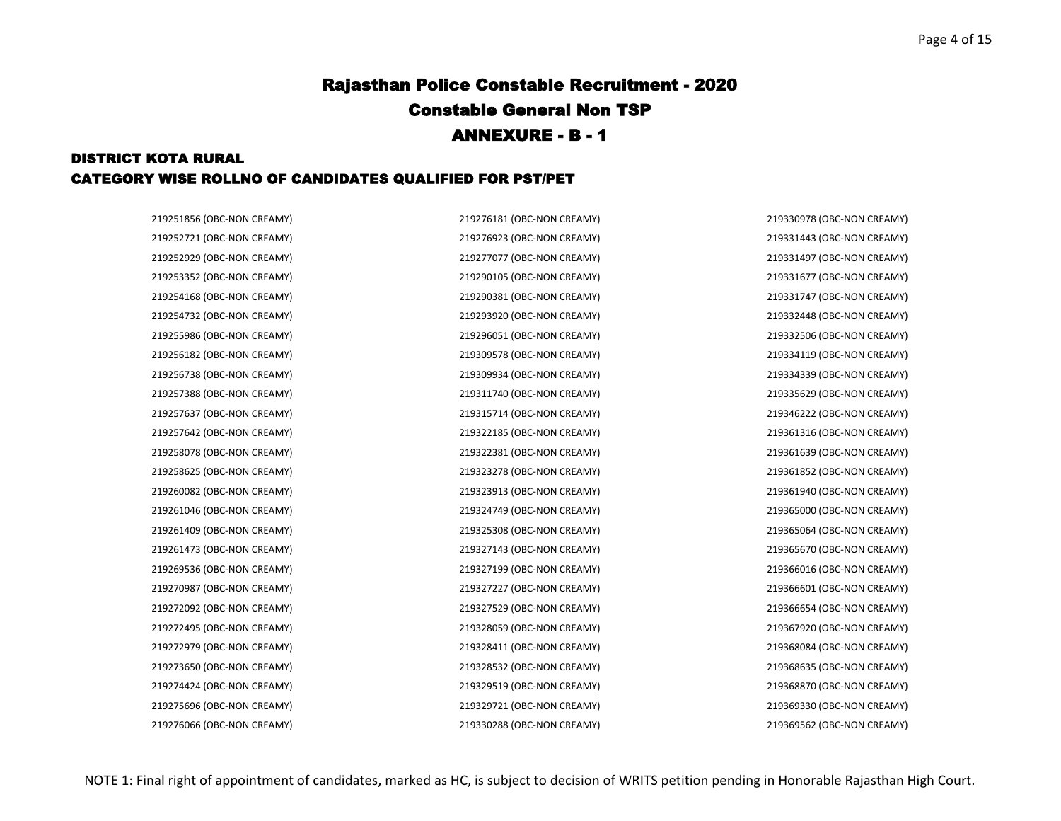### DISTRICT KOTA RURAL CATEGORY WISE ROLLNO OF CANDIDATES QUALIFIED FOR PST/PET

219252721 (OBC-NON CREAMY) 219276923 (OBC-NON CREAMY) 219331443 (OBC-NON CREAMY) 219252929 (OBC-NON CREAMY) 219277077 (OBC-NON CREAMY) 219331497 (OBC-NON CREAMY) 219253352 (OBC-NON CREAMY) 219290105 (OBC-NON CREAMY) 219331677 (OBC-NON CREAMY) 219254168 (OBC-NON CREAMY) 219290381 (OBC-NON CREAMY) 219331747 (OBC-NON CREAMY) 219254732 (OBC-NON CREAMY) 219293920 (OBC-NON CREAMY) 219332448 (OBC-NON CREAMY) 219255986 (OBC-NON CREAMY) 219296051 (OBC-NON CREAMY) 219332506 (OBC-NON CREAMY) 219256182 (OBC-NON CREAMY) 219309578 (OBC-NON CREAMY) 219334119 (OBC-NON CREAMY) 219256738 (OBC-NON CREAMY) 219309934 (OBC-NON CREAMY) 219334339 (OBC-NON CREAMY) 219257388 (OBC-NON CREAMY) 219311740 (OBC-NON CREAMY) 219335629 (OBC-NON CREAMY) 219257637 (OBC-NON CREAMY) 219315714 (OBC-NON CREAMY) 219346222 (OBC-NON CREAMY) 219257642 (OBC-NON CREAMY) 219322185 (OBC-NON CREAMY) 219361316 (OBC-NON CREAMY) 219258078 (OBC-NON CREAMY) 219322381 (OBC-NON CREAMY) 219361639 (OBC-NON CREAMY) 219258625 (OBC-NON CREAMY) 219323278 (OBC-NON CREAMY) 219361852 (OBC-NON CREAMY) 219260082 (OBC-NON CREAMY) 219323913 (OBC-NON CREAMY) 219361940 (OBC-NON CREAMY) 219261046 (OBC-NON CREAMY) 219324749 (OBC-NON CREAMY) 219365000 (OBC-NON CREAMY) 219261409 (OBC-NON CREAMY) 219325308 (OBC-NON CREAMY) 219365064 (OBC-NON CREAMY) 219261473 (OBC-NON CREAMY) 219327143 (OBC-NON CREAMY) 219365670 (OBC-NON CREAMY) 219269536 (OBC-NON CREAMY) 219327199 (OBC-NON CREAMY) 219366016 (OBC-NON CREAMY) 219270987 (OBC-NON CREAMY) 219327227 (OBC-NON CREAMY) 219366601 (OBC-NON CREAMY) 219272092 (OBC-NON CREAMY) 219327529 (OBC-NON CREAMY) 219366654 (OBC-NON CREAMY) 219272495 (OBC-NON CREAMY) 219328059 (OBC-NON CREAMY) 219367920 (OBC-NON CREAMY) 219272979 (OBC-NON CREAMY) 219328411 (OBC-NON CREAMY) 219368084 (OBC-NON CREAMY) 219273650 (OBC-NON CREAMY) 219328532 (OBC-NON CREAMY) 219368635 (OBC-NON CREAMY) 219274424 (OBC-NON CREAMY) 219329519 (OBC-NON CREAMY) 219368870 (OBC-NON CREAMY) 219275696 (OBC-NON CREAMY) 219329721 (OBC-NON CREAMY) 219369330 (OBC-NON CREAMY)

219251856 (OBC-NON CREAMY) 219276181 (OBC-NON CREAMY) 219330978 (OBC-NON CREAMY)

219276066 (OBC-NON CREAMY) 219330288 (OBC-NON CREAMY) 219369562 (OBC-NON CREAMY)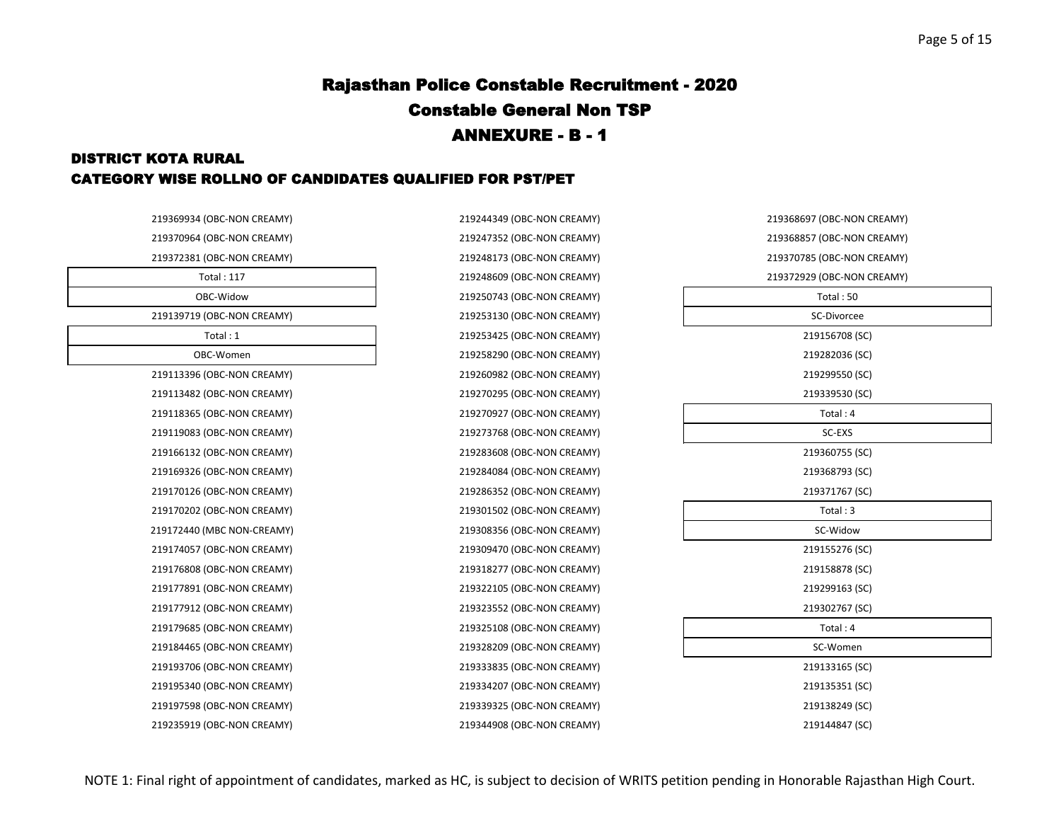#### DISTRICT KOTA RURAL CATEGORY WISE ROLLNO OF CANDIDATES QUALIFIED FOR PST/PET

| 219369934 (OBC-NON CREAMY) | 219244349 (OBC-NON CREAMY) |
|----------------------------|----------------------------|
| 219370964 (OBC-NON CREAMY) | 219247352 (OBC-NON CREAMY) |
| 219372381 (OBC-NON CREAMY) | 219248173 (OBC-NON CREAMY) |
| <b>Total: 117</b>          | 219248609 (OBC-NON CREAMY) |
| OBC-Widow                  | 219250743 (OBC-NON CREAMY) |
| 219139719 (OBC-NON CREAMY) | 219253130 (OBC-NON CREAMY) |
| Total: 1                   | 219253425 (OBC-NON CREAMY) |
| OBC-Women                  | 219258290 (OBC-NON CREAMY) |
| 219113396 (OBC-NON CREAMY) | 219260982 (OBC-NON CREAMY) |
| 219113482 (OBC-NON CREAMY) | 219270295 (OBC-NON CREAMY) |
| 219118365 (OBC-NON CREAMY) | 219270927 (OBC-NON CREAMY) |
| 219119083 (OBC-NON CREAMY) | 219273768 (OBC-NON CREAMY) |
| 219166132 (OBC-NON CREAMY) | 219283608 (OBC-NON CREAMY) |
| 219169326 (OBC-NON CREAMY) | 219284084 (OBC-NON CREAMY) |
| 219170126 (OBC-NON CREAMY) | 219286352 (OBC-NON CREAMY) |
| 219170202 (OBC-NON CREAMY) | 219301502 (OBC-NON CREAMY) |
| 219172440 (MBC NON-CREAMY) | 219308356 (OBC-NON CREAMY) |
| 219174057 (OBC-NON CREAMY) | 219309470 (OBC-NON CREAMY) |
| 219176808 (OBC-NON CREAMY) | 219318277 (OBC-NON CREAMY) |
| 219177891 (OBC-NON CREAMY) | 219322105 (OBC-NON CREAMY) |
| 219177912 (OBC-NON CREAMY) | 219323552 (OBC-NON CREAMY) |
| 219179685 (OBC-NON CREAMY) | 219325108 (OBC-NON CREAMY) |
| 219184465 (OBC-NON CREAMY) | 219328209 (OBC-NON CREAMY) |
| 219193706 (OBC-NON CREAMY) | 219333835 (OBC-NON CREAMY) |
| 219195340 (OBC-NON CREAMY) | 219334207 (OBC-NON CREAMY) |
| 219197598 (OBC-NON CREAMY) | 219339325 (OBC-NON CREAMY) |
| 219235919 (OBC-NON CREAMY) | 219344908 (OBC-NON CREAMY) |

| 219368697 (OBC-NON CREAMY) |
|----------------------------|
| 219368857 (OBC-NON CREAMY) |
| 219370785 (OBC-NON CREAMY) |
| 219372929 (OBC-NON CREAMY) |
| Total: 50                  |
| SC-Divorcee                |
| 219156708 (SC)             |
| 219282036 (SC)             |
| 219299550 (SC)             |
| 219339530 (SC)             |
| Total: 4                   |
| SC-EXS                     |
| 219360755 (SC)             |
| 219368793 (SC)             |
| 219371767 (SC)             |
| Total: 3                   |
| SC-Widow                   |
| 219155276 (SC)             |
| 219158878 (SC)             |
| 219299163 (SC)             |
| 219302767 (SC)             |
| Total: 4                   |
| SC-Women                   |
| 219133165 (SC)             |
| 219135351 (SC)             |
| 219138249 (SC)             |
| 219144847 (SC)             |
|                            |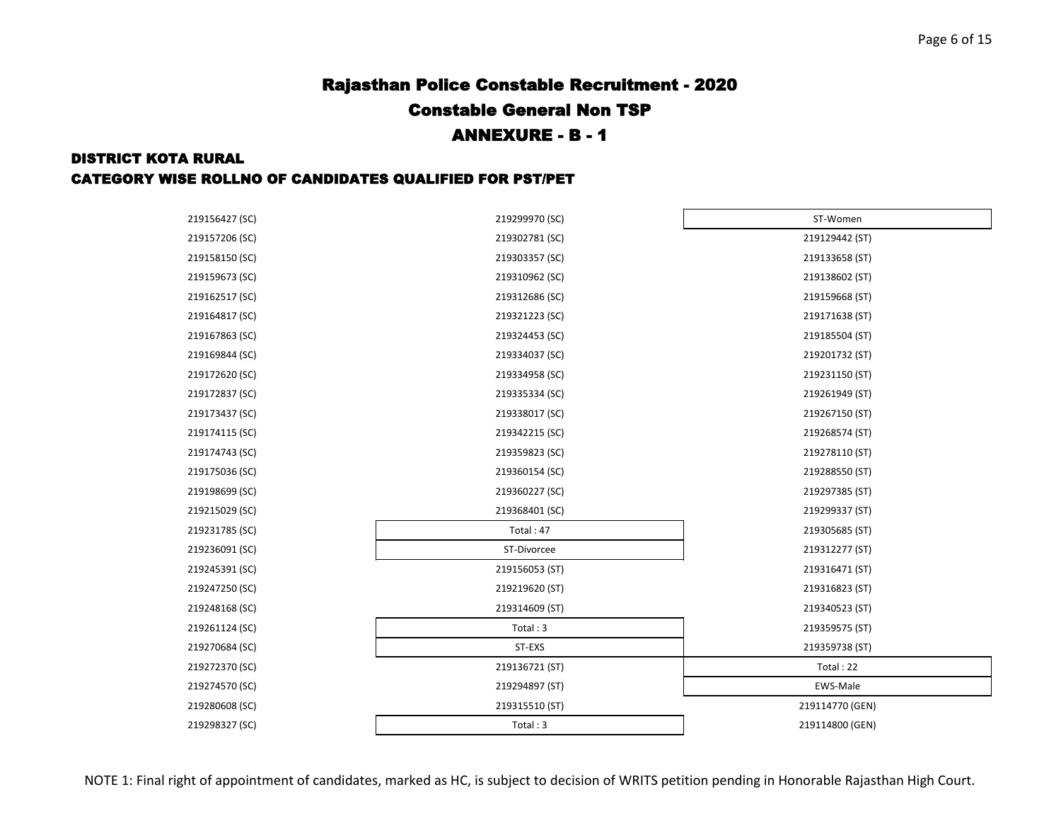#### DISTRICT KOTA RURAL

| 219156427 (SC) | 219299970 (SC) | ST-Women        |
|----------------|----------------|-----------------|
| 219157206 (SC) | 219302781 (SC) | 219129442 (ST)  |
| 219158150 (SC) | 219303357 (SC) | 219133658 (ST)  |
| 219159673 (SC) | 219310962 (SC) | 219138602 (ST)  |
| 219162517 (SC) | 219312686 (SC) | 219159668 (ST)  |
| 219164817 (SC) | 219321223 (SC) | 219171638 (ST)  |
| 219167863 (SC) | 219324453 (SC) | 219185504 (ST)  |
| 219169844 (SC) | 219334037 (SC) | 219201732 (ST)  |
| 219172620 (SC) | 219334958 (SC) | 219231150 (ST)  |
| 219172837 (SC) | 219335334 (SC) | 219261949 (ST)  |
| 219173437 (SC) | 219338017 (SC) | 219267150 (ST)  |
| 219174115 (SC) | 219342215 (SC) | 219268574 (ST)  |
| 219174743 (SC) | 219359823 (SC) | 219278110 (ST)  |
| 219175036 (SC) | 219360154 (SC) | 219288550 (ST)  |
| 219198699 (SC) | 219360227 (SC) | 219297385 (ST)  |
| 219215029 (SC) | 219368401 (SC) | 219299337 (ST)  |
| 219231785 (SC) | Total: 47      | 219305685 (ST)  |
| 219236091 (SC) | ST-Divorcee    | 219312277 (ST)  |
| 219245391 (SC) | 219156053 (ST) | 219316471 (ST)  |
| 219247250 (SC) | 219219620 (ST) | 219316823 (ST)  |
| 219248168 (SC) | 219314609 (ST) | 219340523 (ST)  |
| 219261124 (SC) | Total: 3       | 219359575 (ST)  |
| 219270684 (SC) | ST-EXS         | 219359738 (ST)  |
| 219272370 (SC) | 219136721 (ST) | Total: 22       |
| 219274570 (SC) | 219294897 (ST) | EWS-Male        |
| 219280608 (SC) | 219315510 (ST) | 219114770 (GEN) |
| 219298327 (SC) | Total: 3       | 219114800 (GEN) |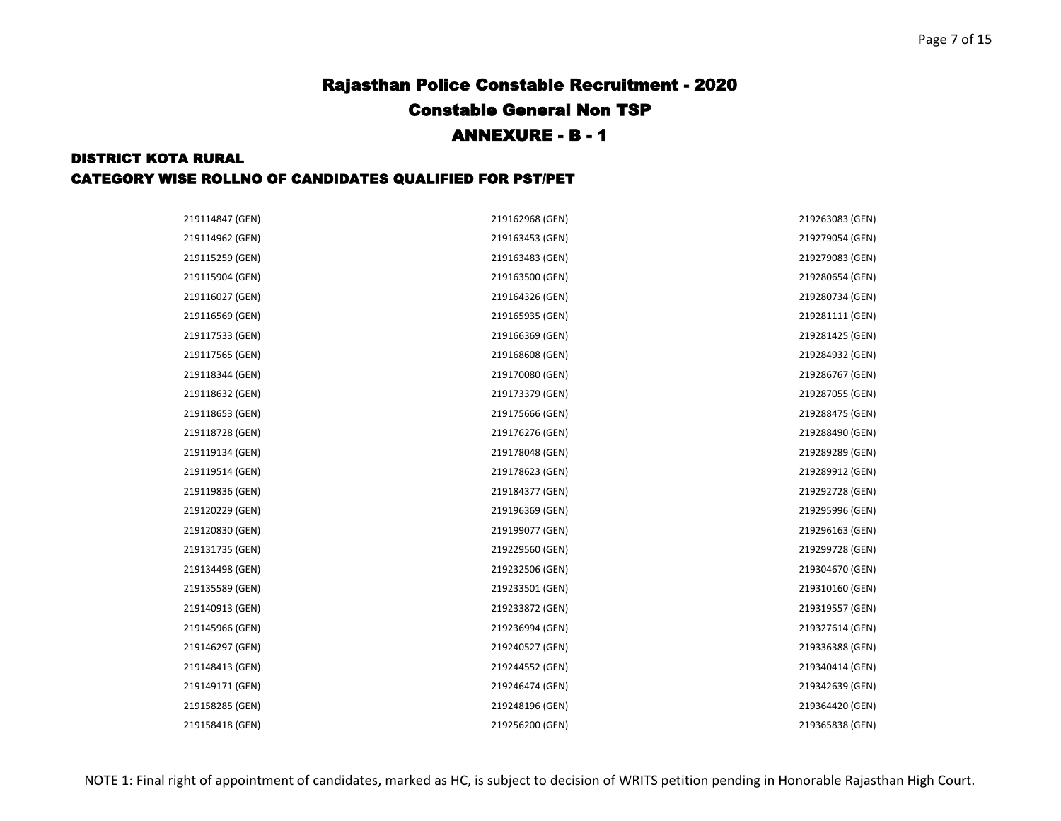### DISTRICT KOTA RURAL CATEGORY WISE ROLLNO OF CANDIDATES QUALIFIED FOR PST/PET

| 219114847 (GEN) | 219162968 (GEN) | 219263083 (GEN) |
|-----------------|-----------------|-----------------|
| 219114962 (GEN) | 219163453 (GEN) | 219279054 (GEN) |
| 219115259 (GEN) | 219163483 (GEN) | 219279083 (GEN) |
| 219115904 (GEN) | 219163500 (GEN) | 219280654 (GEN) |
| 219116027 (GEN) | 219164326 (GEN) | 219280734 (GEN) |
| 219116569 (GEN) | 219165935 (GEN) | 219281111 (GEN) |
| 219117533 (GEN) | 219166369 (GEN) | 219281425 (GEN) |
| 219117565 (GEN) | 219168608 (GEN) | 219284932 (GEN) |
| 219118344 (GEN) | 219170080 (GEN) | 219286767 (GEN) |
| 219118632 (GEN) | 219173379 (GEN) | 219287055 (GEN) |
| 219118653 (GEN) | 219175666 (GEN) | 219288475 (GEN) |
| 219118728 (GEN) | 219176276 (GEN) | 219288490 (GEN) |
| 219119134 (GEN) | 219178048 (GEN) | 219289289 (GEN) |
| 219119514 (GEN) | 219178623 (GEN) | 219289912 (GEN) |
| 219119836 (GEN) | 219184377 (GEN) | 219292728 (GEN) |
| 219120229 (GEN) | 219196369 (GEN) | 219295996 (GEN) |
| 219120830 (GEN) | 219199077 (GEN) | 219296163 (GEN) |
| 219131735 (GEN) | 219229560 (GEN) | 219299728 (GEN) |
| 219134498 (GEN) | 219232506 (GEN) | 219304670 (GEN) |
| 219135589 (GEN) | 219233501 (GEN) | 219310160 (GEN) |
| 219140913 (GEN) | 219233872 (GEN) | 219319557 (GEN) |
| 219145966 (GEN) | 219236994 (GEN) | 219327614 (GEN) |
| 219146297 (GEN) | 219240527 (GEN) | 219336388 (GEN) |
| 219148413 (GEN) | 219244552 (GEN) | 219340414 (GEN) |
| 219149171 (GEN) | 219246474 (GEN) | 219342639 (GEN) |
| 219158285 (GEN) | 219248196 (GEN) | 219364420 (GEN) |
| 219158418 (GEN) | 219256200 (GEN) | 219365838 (GEN) |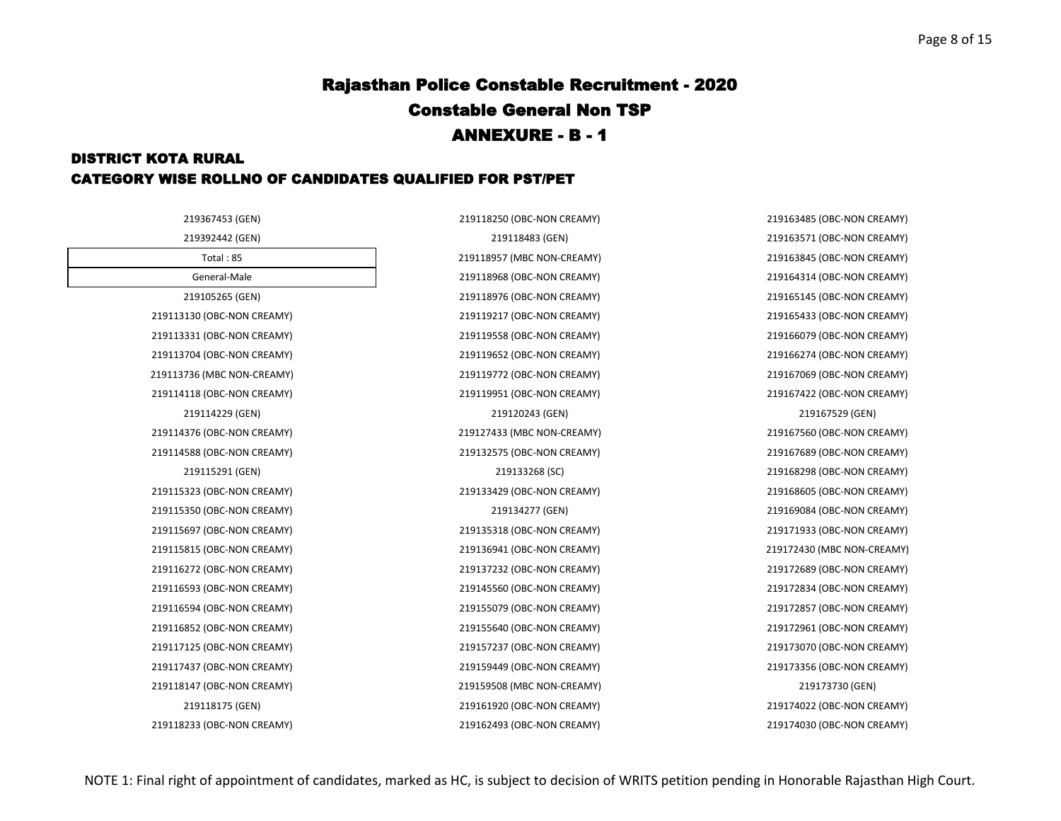### DISTRICT KOTA RURAL CATEGORY WISE ROLLNO OF CANDIDATES QUALIFIED FOR PST/PET

219367453 (GEN) 219118250 (OBC-NON CREAMY) 219163485 (OBC-NON CREAMY) 219392442 (GEN) 219118483 (GEN) 219163571 (OBC-NON CREAMY) Total : 85 219118957 (MBC NON-CREAMY) 219163845 (OBC-NON CREAMY) General-Male 219118968 (OBC-NON CREAMY) 219164314 (OBC-NON CREAMY) 219105265 (GEN) 219118976 (OBC-NON CREAMY) 219165145 (OBC-NON CREAMY) 219113130 (OBC-NON CREAMY) 219119217 (OBC-NON CREAMY) 219165433 (OBC-NON CREAMY) 219113331 (OBC-NON CREAMY) 219119558 (OBC-NON CREAMY) 219166079 (OBC-NON CREAMY) 219113704 (OBC-NON CREAMY) 219119652 (OBC-NON CREAMY) 219166274 (OBC-NON CREAMY) 219113736 (MBC NON-CREAMY) 219119772 (OBC-NON CREAMY) 219167069 (OBC-NON CREAMY) 219114118 (OBC-NON CREAMY) 219119951 (OBC-NON CREAMY) 219167422 (OBC-NON CREAMY) 219114229 (GEN) 219120243 (GEN) 219167529 (GEN) 219114376 (OBC-NON CREAMY) 219127433 (MBC NON-CREAMY) 219167560 (OBC-NON CREAMY) 219114588 (OBC-NON CREAMY) 219132575 (OBC-NON CREAMY) 219167689 (OBC-NON CREAMY) 219115291 (GEN) 219133268 (SC) 219168298 (OBC-NON CREAMY) 219115323 (OBC-NON CREAMY) 219133429 (OBC-NON CREAMY) 219168605 (OBC-NON CREAMY) 219115350 (OBC-NON CREAMY) 219134277 (GEN) 219169084 (OBC-NON CREAMY) 219115697 (OBC-NON CREAMY) 219135318 (OBC-NON CREAMY) 219171933 (OBC-NON CREAMY) 219115815 (OBC-NON CREAMY) 219136941 (OBC-NON CREAMY) 219172430 (MBC NON-CREAMY) 219116272 (OBC-NON CREAMY) 219137232 (OBC-NON CREAMY) 219172689 (OBC-NON CREAMY) 219116593 (OBC-NON CREAMY) 219145560 (OBC-NON CREAMY) 219172834 (OBC-NON CREAMY) 219116594 (OBC-NON CREAMY) 219155079 (OBC-NON CREAMY) 219172857 (OBC-NON CREAMY) 219116852 (OBC-NON CREAMY) 219155640 (OBC-NON CREAMY) 219172961 (OBC-NON CREAMY) 219117125 (OBC-NON CREAMY) 219157237 (OBC-NON CREAMY) 219173070 (OBC-NON CREAMY) 219117437 (OBC-NON CREAMY) 219159449 (OBC-NON CREAMY) 219173356 (OBC-NON CREAMY) 219118147 (OBC-NON CREAMY) 219159508 (MBC NON-CREAMY) 219173730 (GEN) 219118175 (GEN) 219161920 (OBC-NON CREAMY) 219174022 (OBC-NON CREAMY) 219118233 (OBC-NON CREAMY) 219162493 (OBC-NON CREAMY) 219174030 (OBC-NON CREAMY)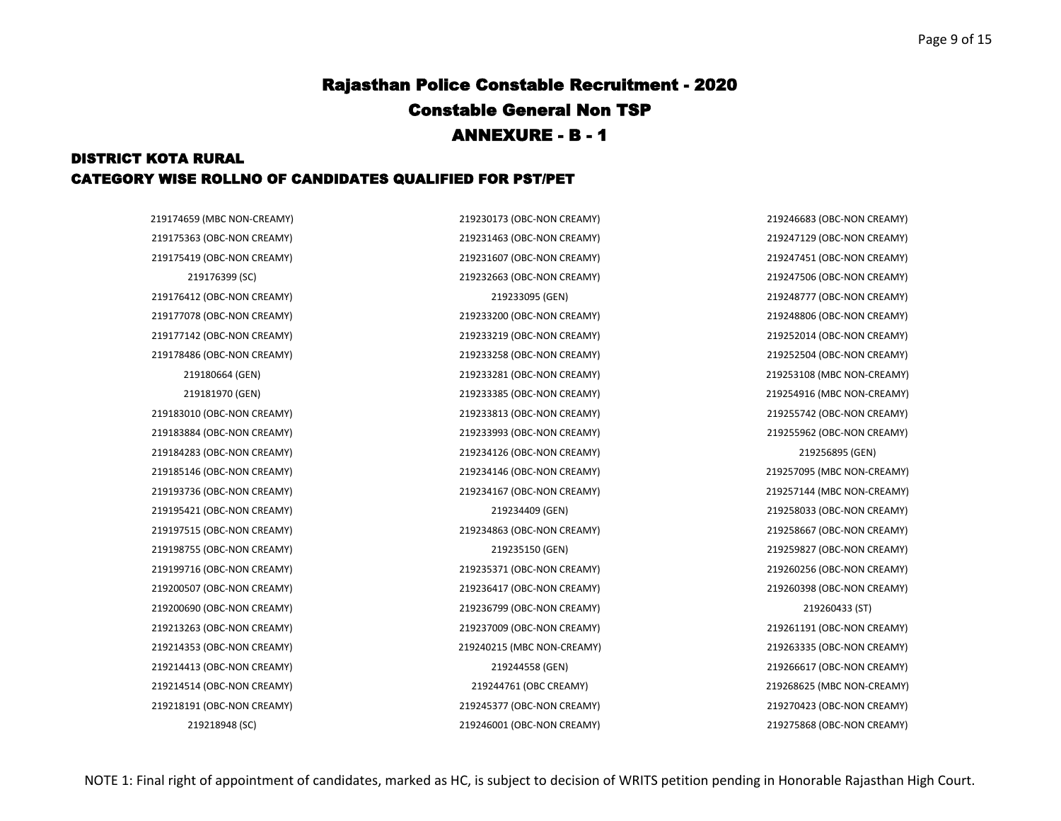### DISTRICT KOTA RURAL CATEGORY WISE ROLLNO OF CANDIDATES QUALIFIED FOR PST/PET

219175363 (OBC-NON CREAMY) 219231463 (OBC-NON CREAMY) 219247129 (OBC-NON CREAMY) 219175419 (OBC-NON CREAMY) 219231607 (OBC-NON CREAMY) 219247451 (OBC-NON CREAMY) 219176412 (OBC-NON CREAMY) 219233095 (GEN) 219248777 (OBC-NON CREAMY) 219177078 (OBC-NON CREAMY) 219233200 (OBC-NON CREAMY) 219248806 (OBC-NON CREAMY) 219177142 (OBC-NON CREAMY) 219233219 (OBC-NON CREAMY) 219252014 (OBC-NON CREAMY) 219178486 (OBC-NON CREAMY) 219233258 (OBC-NON CREAMY) 219252504 (OBC-NON CREAMY) 219183010 (OBC-NON CREAMY) 219233813 (OBC-NON CREAMY) 219255742 (OBC-NON CREAMY) 219183884 (OBC-NON CREAMY) 219233993 (OBC-NON CREAMY) 219255962 (OBC-NON CREAMY) 219184283 (OBC-NON CREAMY) 219234126 (OBC-NON CREAMY) 219256895 (GEN) 219185146 (OBC-NON CREAMY) 219234146 (OBC-NON CREAMY) 219257095 (MBC NON-CREAMY) 219193736 (OBC-NON CREAMY) 219234167 (OBC-NON CREAMY) 219257144 (MBC NON-CREAMY) 219195421 (OBC-NON CREAMY) 219234409 (GEN) 219258033 (OBC-NON CREAMY) 219197515 (OBC-NON CREAMY) 219234863 (OBC-NON CREAMY) 219258667 (OBC-NON CREAMY) 219198755 (OBC-NON CREAMY) 219235150 (GEN) 219259827 (OBC-NON CREAMY) 219199716 (OBC-NON CREAMY) 219235371 (OBC-NON CREAMY) 219260256 (OBC-NON CREAMY) 219200507 (OBC-NON CREAMY) 219236417 (OBC-NON CREAMY) 219260398 (OBC-NON CREAMY) 219200690 (OBC-NON CREAMY) 219236799 (OBC-NON CREAMY) 219260433 (ST) 219213263 (OBC-NON CREAMY) 219237009 (OBC-NON CREAMY) 219261191 (OBC-NON CREAMY) 219214353 (OBC-NON CREAMY) 219240215 (MBC NON-CREAMY) 219263335 (OBC-NON CREAMY) 219214413 (OBC-NON CREAMY) 219244558 (GEN) 219266617 (OBC-NON CREAMY) 219214514 (OBC-NON CREAMY) 219244761 (OBC CREAMY) 219268625 (MBC NON-CREAMY) 219218191 (OBC-NON CREAMY) 219245377 (OBC-NON CREAMY) 219270423 (OBC-NON CREAMY)

219174659 (MBC NON-CREAMY) 219230173 (OBC-NON CREAMY) 219246683 (OBC-NON CREAMY) 219176399 (SC) 219232663 (OBC-NON CREAMY) 219247506 (OBC-NON CREAMY) 219180664 (GEN) 219233281 (OBC-NON CREAMY) 219253108 (MBC NON-CREAMY) 219181970 (GEN) 219233385 (OBC-NON CREAMY) 219254916 (MBC NON-CREAMY) 219218948 (SC) 219246001 (OBC-NON CREAMY) 219275868 (OBC-NON CREAMY)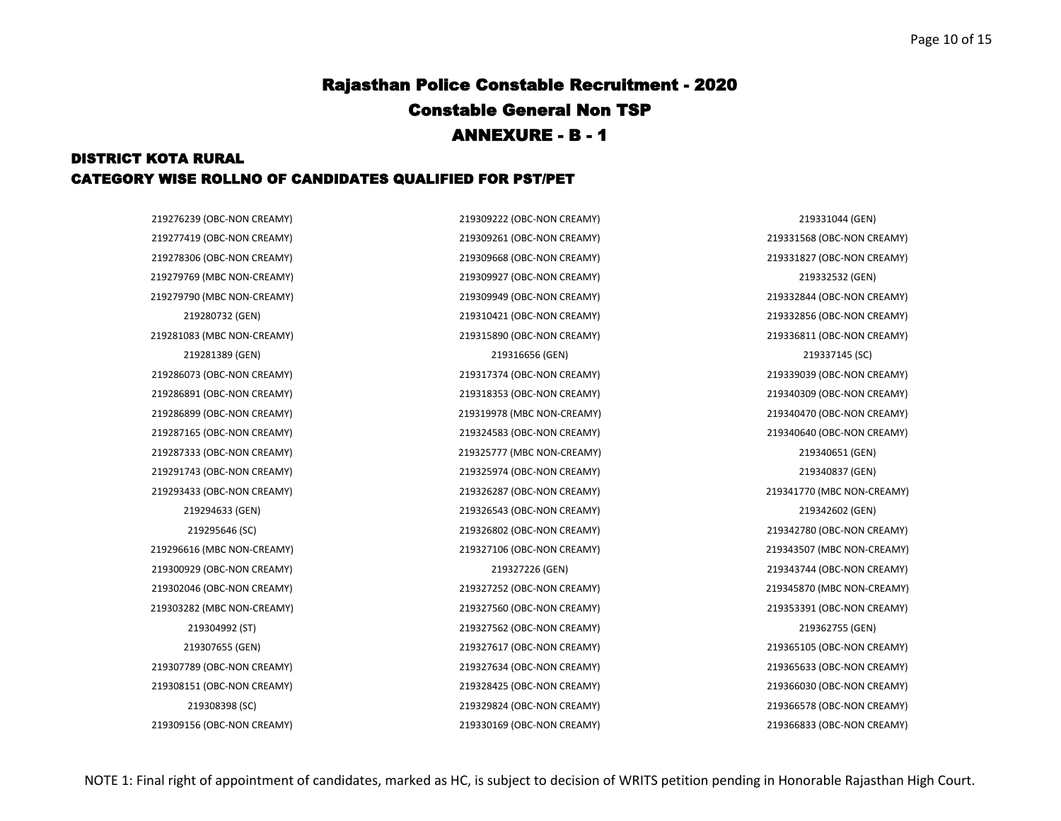### DISTRICT KOTA RURAL CATEGORY WISE ROLLNO OF CANDIDATES QUALIFIED FOR PST/PET

219280732 (GEN) 219310421 (OBC-NON CREAMY) 219332856 (OBC-NON CREAMY) 219281389 (GEN) 219316656 (GEN) 219337145 (SC) 219294633 (GEN) 219326543 (OBC-NON CREAMY) 219342602 (GEN) 219295646 (SC) 219326802 (OBC-NON CREAMY) 219342780 (OBC-NON CREAMY) 219304992 (ST) 219327562 (OBC-NON CREAMY) 219362755 (GEN) 219307655 (GEN) 219327617 (OBC-NON CREAMY) 219365105 (OBC-NON CREAMY) 219308398 (SC) 219329824 (OBC-NON CREAMY) 219366578 (OBC-NON CREAMY) 219309156 (OBC-NON CREAMY) 219330169 (OBC-NON CREAMY) 219366833 (OBC-NON CREAMY)

219276239 (OBC-NON CREAMY) 219309222 (OBC-NON CREAMY) 219331044 (GEN) 219277419 (OBC-NON CREAMY) 219309261 (OBC-NON CREAMY) 219331568 (OBC-NON CREAMY) 219278306 (OBC-NON CREAMY) 219309668 (OBC-NON CREAMY) 219331827 (OBC-NON CREAMY) 219279769 (MBC NON-CREAMY) 219309927 (OBC-NON CREAMY) 219332532 (GEN) 219279790 (MBC NON-CREAMY) 219309949 (OBC-NON CREAMY) 219332844 (OBC-NON CREAMY) 219281083 (MBC NON-CREAMY) 219315890 (OBC-NON CREAMY) 219336811 (OBC-NON CREAMY) 219286073 (OBC-NON CREAMY) 219317374 (OBC-NON CREAMY) 219339039 (OBC-NON CREAMY) 219286891 (OBC-NON CREAMY) 219318353 (OBC-NON CREAMY) 219340309 (OBC-NON CREAMY) 219286899 (OBC-NON CREAMY) 219319978 (MBC NON-CREAMY) 219340470 (OBC-NON CREAMY) 219287165 (OBC-NON CREAMY) 219324583 (OBC-NON CREAMY) 219340640 (OBC-NON CREAMY) 219287333 (OBC-NON CREAMY) 219325777 (MBC NON-CREAMY) 219340651 (GEN) 219291743 (OBC-NON CREAMY) 219325974 (OBC-NON CREAMY) 219340837 (GEN) 219293433 (OBC-NON CREAMY) 219326287 (OBC-NON CREAMY) 219341770 (MBC NON-CREAMY) 219296616 (MBC NON-CREAMY) 219327106 (OBC-NON CREAMY) 219343507 (MBC NON-CREAMY) 219300929 (OBC-NON CREAMY) 219327226 (GEN) 219343744 (OBC-NON CREAMY) 219302046 (OBC-NON CREAMY) 219327252 (OBC-NON CREAMY) 219345870 (MBC NON-CREAMY) 219303282 (MBC NON-CREAMY) 219327560 (OBC-NON CREAMY) 219353391 (OBC-NON CREAMY) 219307789 (OBC-NON CREAMY) 219327634 (OBC-NON CREAMY) 219365633 (OBC-NON CREAMY) 219308151 (OBC-NON CREAMY) 219328425 (OBC-NON CREAMY) 219366030 (OBC-NON CREAMY)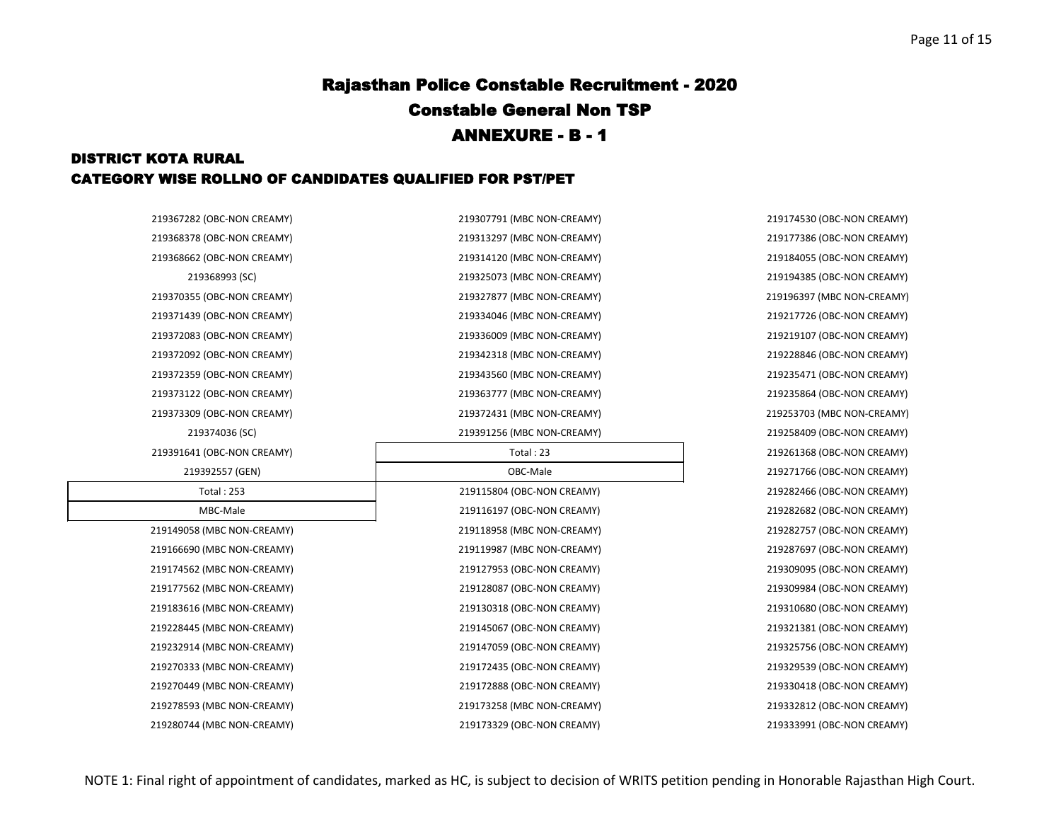### DISTRICT KOTA RURAL CATEGORY WISE ROLLNO OF CANDIDATES QUALIFIED FOR PST/PET

| 219367282 (OBC-NON CREAMY) | 219307791 (MBC NON-CREAMY) | 219174530 (OBC-NON CREAMY) |
|----------------------------|----------------------------|----------------------------|
| 219368378 (OBC-NON CREAMY) | 219313297 (MBC NON-CREAMY) | 219177386 (OBC-NON CREAMY) |
| 219368662 (OBC-NON CREAMY) | 219314120 (MBC NON-CREAMY) | 219184055 (OBC-NON CREAMY) |
| 219368993 (SC)             | 219325073 (MBC NON-CREAMY) | 219194385 (OBC-NON CREAMY) |
| 219370355 (OBC-NON CREAMY) | 219327877 (MBC NON-CREAMY) | 219196397 (MBC NON-CREAMY) |
| 219371439 (OBC-NON CREAMY) | 219334046 (MBC NON-CREAMY) | 219217726 (OBC-NON CREAMY) |
| 219372083 (OBC-NON CREAMY) | 219336009 (MBC NON-CREAMY) | 219219107 (OBC-NON CREAMY) |
| 219372092 (OBC-NON CREAMY) | 219342318 (MBC NON-CREAMY) | 219228846 (OBC-NON CREAMY) |
| 219372359 (OBC-NON CREAMY) | 219343560 (MBC NON-CREAMY) | 219235471 (OBC-NON CREAMY) |
| 219373122 (OBC-NON CREAMY) | 219363777 (MBC NON-CREAMY) | 219235864 (OBC-NON CREAMY) |
| 219373309 (OBC-NON CREAMY) | 219372431 (MBC NON-CREAMY) | 219253703 (MBC NON-CREAMY) |
| 219374036 (SC)             | 219391256 (MBC NON-CREAMY) | 219258409 (OBC-NON CREAMY) |
| 219391641 (OBC-NON CREAMY) | Total: 23                  | 219261368 (OBC-NON CREAMY) |
| 219392557 (GEN)            | OBC-Male                   | 219271766 (OBC-NON CREAMY) |
| <b>Total: 253</b>          | 219115804 (OBC-NON CREAMY) | 219282466 (OBC-NON CREAMY) |
| MBC-Male                   | 219116197 (OBC-NON CREAMY) | 219282682 (OBC-NON CREAMY) |
| 219149058 (MBC NON-CREAMY) | 219118958 (MBC NON-CREAMY) | 219282757 (OBC-NON CREAMY) |
| 219166690 (MBC NON-CREAMY) | 219119987 (MBC NON-CREAMY) | 219287697 (OBC-NON CREAMY) |
| 219174562 (MBC NON-CREAMY) | 219127953 (OBC-NON CREAMY) | 219309095 (OBC-NON CREAMY) |
| 219177562 (MBC NON-CREAMY) | 219128087 (OBC-NON CREAMY) | 219309984 (OBC-NON CREAMY) |
| 219183616 (MBC NON-CREAMY) | 219130318 (OBC-NON CREAMY) | 219310680 (OBC-NON CREAMY) |
| 219228445 (MBC NON-CREAMY) | 219145067 (OBC-NON CREAMY) | 219321381 (OBC-NON CREAMY) |
| 219232914 (MBC NON-CREAMY) | 219147059 (OBC-NON CREAMY) | 219325756 (OBC-NON CREAMY) |
| 219270333 (MBC NON-CREAMY) | 219172435 (OBC-NON CREAMY) | 219329539 (OBC-NON CREAMY) |
| 219270449 (MBC NON-CREAMY) | 219172888 (OBC-NON CREAMY) | 219330418 (OBC-NON CREAMY) |
| 219278593 (MBC NON-CREAMY) | 219173258 (MBC NON-CREAMY) | 219332812 (OBC-NON CREAMY) |
| 219280744 (MBC NON-CREAMY) | 219173329 (OBC-NON CREAMY) | 219333991 (OBC-NON CREAMY) |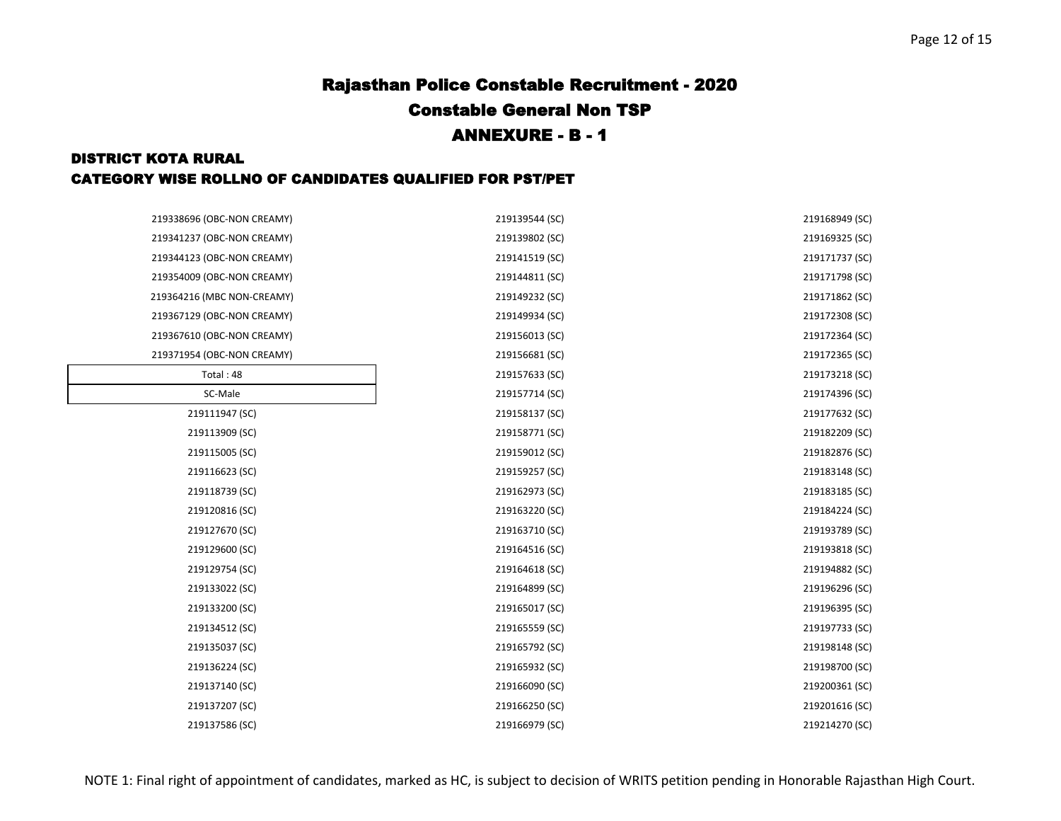### DISTRICT KOTA RURAL CATEGORY WISE ROLLNO OF CANDIDATES QUALIFIED FOR PST/PET

| 219338696 (OBC-NON CREAMY) | 219139544 (SC) | 219168949 (SC) |
|----------------------------|----------------|----------------|
| 219341237 (OBC-NON CREAMY) | 219139802 (SC) | 219169325 (SC) |
| 219344123 (OBC-NON CREAMY) | 219141519 (SC) | 219171737 (SC) |
| 219354009 (OBC-NON CREAMY) | 219144811 (SC) | 219171798 (SC) |
| 219364216 (MBC NON-CREAMY) | 219149232 (SC) | 219171862 (SC) |
| 219367129 (OBC-NON CREAMY) | 219149934 (SC) | 219172308 (SC) |
| 219367610 (OBC-NON CREAMY) | 219156013 (SC) | 219172364 (SC) |
| 219371954 (OBC-NON CREAMY) | 219156681 (SC) | 219172365 (SC) |
| Total: 48                  | 219157633 (SC) | 219173218 (SC) |
| SC-Male                    | 219157714 (SC) | 219174396 (SC) |
| 219111947 (SC)             | 219158137 (SC) | 219177632 (SC) |
| 219113909 (SC)             | 219158771 (SC) | 219182209 (SC) |
| 219115005 (SC)             | 219159012 (SC) | 219182876 (SC) |
| 219116623 (SC)             | 219159257 (SC) | 219183148 (SC) |
| 219118739 (SC)             | 219162973 (SC) | 219183185 (SC) |
| 219120816 (SC)             | 219163220 (SC) | 219184224 (SC) |
| 219127670 (SC)             | 219163710 (SC) | 219193789 (SC) |
| 219129600 (SC)             | 219164516 (SC) | 219193818 (SC) |
| 219129754 (SC)             | 219164618 (SC) | 219194882 (SC) |
| 219133022 (SC)             | 219164899 (SC) | 219196296 (SC) |
| 219133200 (SC)             | 219165017 (SC) | 219196395 (SC) |
| 219134512 (SC)             | 219165559 (SC) | 219197733 (SC) |
| 219135037 (SC)             | 219165792 (SC) | 219198148 (SC) |
| 219136224 (SC)             | 219165932 (SC) | 219198700 (SC) |
| 219137140 (SC)             | 219166090 (SC) | 219200361 (SC) |
| 219137207 (SC)             | 219166250 (SC) | 219201616 (SC) |
| 219137586 (SC)             | 219166979 (SC) | 219214270 (SC) |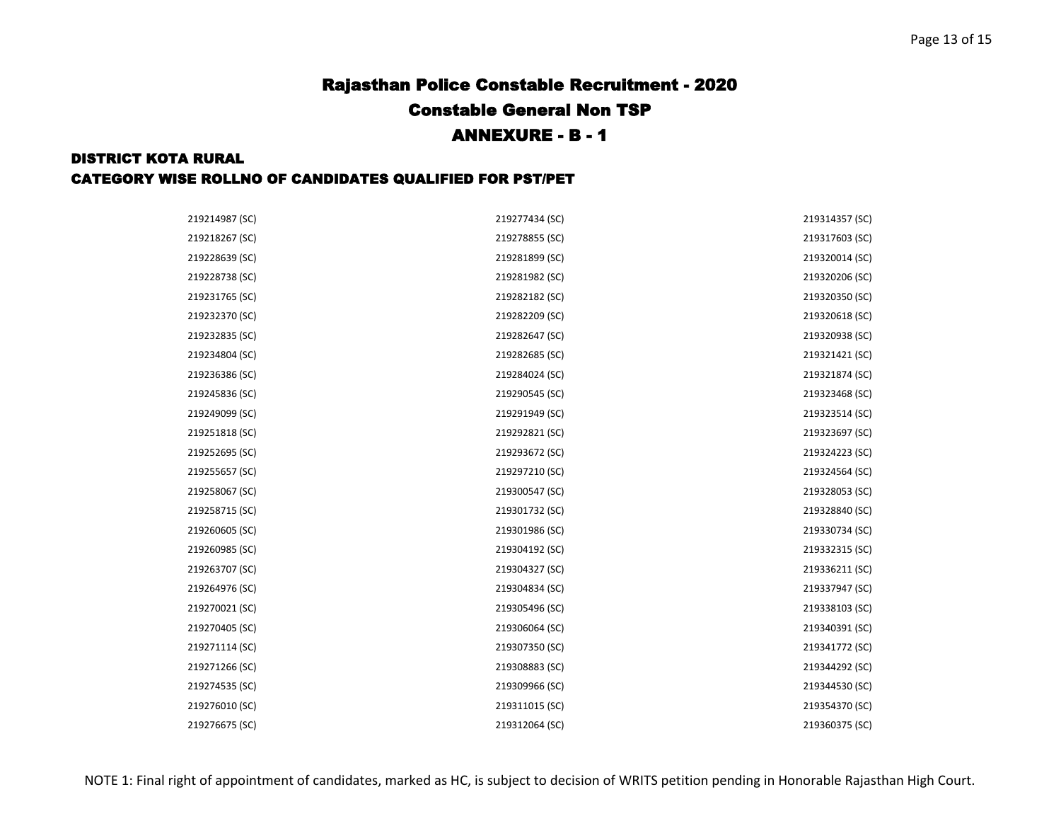#### DISTRICT KOTA RURAL

| 219214987 (SC) | 219277434 (SC) | 219314357 (SC) |
|----------------|----------------|----------------|
| 219218267 (SC) | 219278855 (SC) | 219317603 (SC) |
| 219228639 (SC) | 219281899 (SC) | 219320014 (SC) |
| 219228738 (SC) | 219281982 (SC) | 219320206 (SC) |
| 219231765 (SC) | 219282182 (SC) | 219320350 (SC) |
| 219232370 (SC) | 219282209 (SC) | 219320618 (SC) |
| 219232835 (SC) | 219282647 (SC) | 219320938 (SC) |
| 219234804 (SC) | 219282685 (SC) | 219321421 (SC) |
| 219236386 (SC) | 219284024 (SC) | 219321874 (SC) |
| 219245836 (SC) | 219290545 (SC) | 219323468 (SC) |
| 219249099 (SC) | 219291949 (SC) | 219323514 (SC) |
| 219251818 (SC) | 219292821 (SC) | 219323697 (SC) |
| 219252695 (SC) | 219293672 (SC) | 219324223 (SC) |
| 219255657 (SC) | 219297210 (SC) | 219324564 (SC) |
| 219258067 (SC) | 219300547 (SC) | 219328053 (SC) |
| 219258715 (SC) | 219301732 (SC) | 219328840 (SC) |
| 219260605 (SC) | 219301986 (SC) | 219330734 (SC) |
| 219260985 (SC) | 219304192 (SC) | 219332315 (SC) |
| 219263707 (SC) | 219304327 (SC) | 219336211 (SC) |
| 219264976 (SC) | 219304834 (SC) | 219337947 (SC) |
| 219270021 (SC) | 219305496 (SC) | 219338103 (SC) |
| 219270405 (SC) | 219306064 (SC) | 219340391 (SC) |
| 219271114 (SC) | 219307350 (SC) | 219341772 (SC) |
| 219271266 (SC) | 219308883 (SC) | 219344292 (SC) |
| 219274535 (SC) | 219309966 (SC) | 219344530 (SC) |
| 219276010 (SC) | 219311015 (SC) | 219354370 (SC) |
| 219276675 (SC) | 219312064 (SC) | 219360375 (SC) |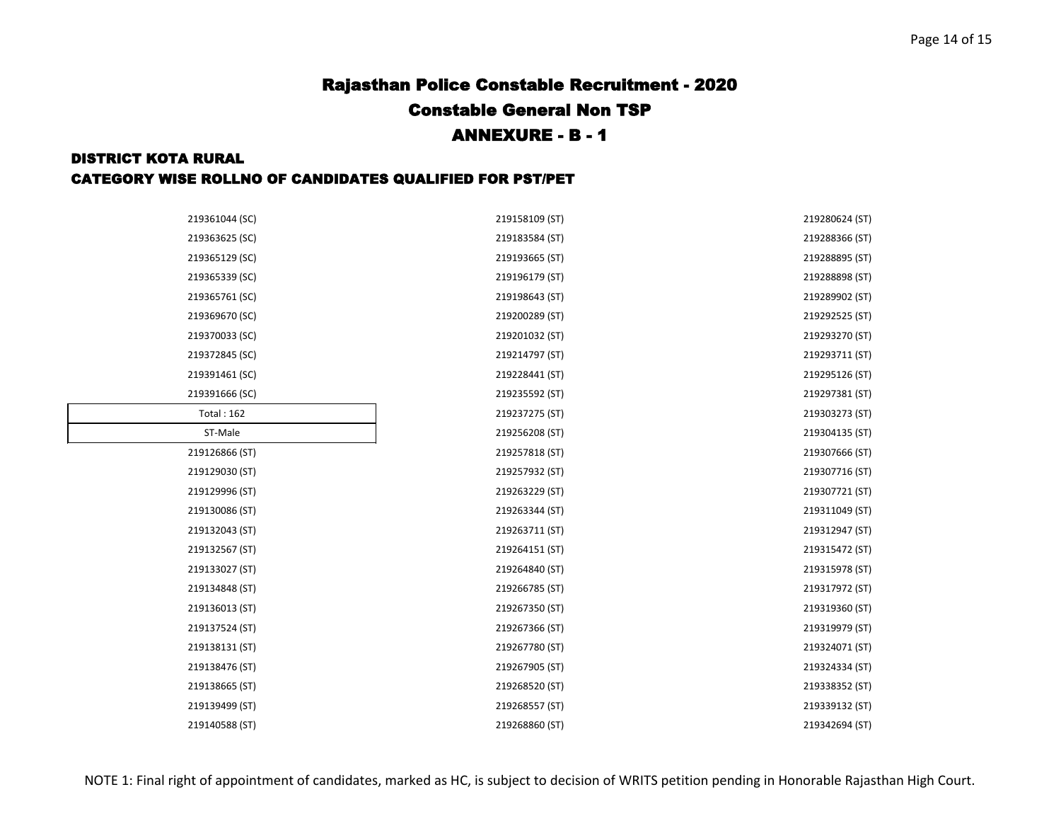#### DISTRICT KOTA RURAL

| 219361044 (SC)    | 219158109 (ST) | 219280624 (ST) |
|-------------------|----------------|----------------|
| 219363625 (SC)    | 219183584 (ST) | 219288366 (ST) |
| 219365129 (SC)    | 219193665 (ST) | 219288895 (ST) |
|                   |                |                |
| 219365339 (SC)    | 219196179 (ST) | 219288898 (ST) |
| 219365761 (SC)    | 219198643 (ST) | 219289902 (ST) |
| 219369670 (SC)    | 219200289 (ST) | 219292525 (ST) |
| 219370033 (SC)    | 219201032 (ST) | 219293270 (ST) |
| 219372845 (SC)    | 219214797 (ST) | 219293711 (ST) |
| 219391461 (SC)    | 219228441 (ST) | 219295126 (ST) |
| 219391666 (SC)    | 219235592 (ST) | 219297381 (ST) |
| <b>Total: 162</b> | 219237275 (ST) | 219303273 (ST) |
| ST-Male           | 219256208 (ST) | 219304135 (ST) |
| 219126866 (ST)    | 219257818 (ST) | 219307666 (ST) |
| 219129030 (ST)    | 219257932 (ST) | 219307716 (ST) |
| 219129996 (ST)    | 219263229 (ST) | 219307721 (ST) |
| 219130086 (ST)    | 219263344 (ST) | 219311049 (ST) |
| 219132043 (ST)    | 219263711 (ST) | 219312947 (ST) |
| 219132567 (ST)    | 219264151 (ST) | 219315472 (ST) |
| 219133027 (ST)    | 219264840 (ST) | 219315978 (ST) |
| 219134848 (ST)    | 219266785 (ST) | 219317972 (ST) |
| 219136013 (ST)    | 219267350 (ST) | 219319360 (ST) |
| 219137524 (ST)    | 219267366 (ST) | 219319979 (ST) |
| 219138131 (ST)    | 219267780 (ST) | 219324071 (ST) |
| 219138476 (ST)    | 219267905 (ST) | 219324334 (ST) |
| 219138665 (ST)    | 219268520 (ST) | 219338352 (ST) |
| 219139499 (ST)    | 219268557 (ST) | 219339132 (ST) |
| 219140588 (ST)    | 219268860 (ST) | 219342694 (ST) |